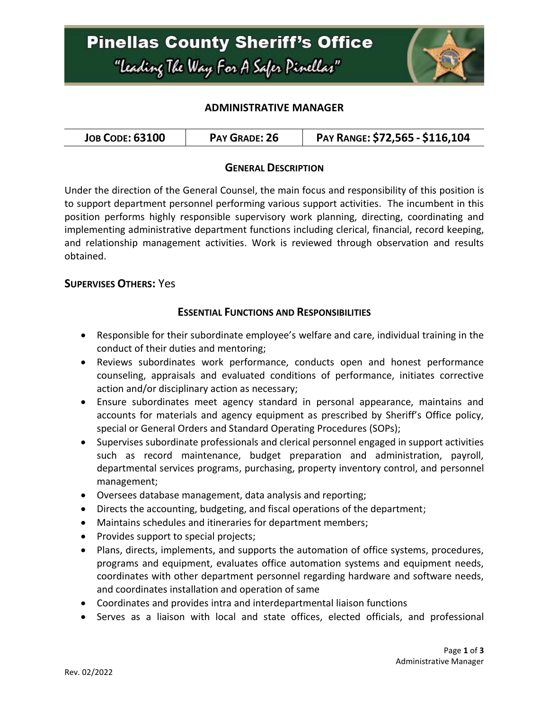

### **ADMINISTRATIVE MANAGER**

| <b>JOB CODE: 63100</b><br>PAY GRADE: 26 | PAY RANGE: \$72,565 - \$116,104 |
|-----------------------------------------|---------------------------------|
|-----------------------------------------|---------------------------------|

# **GENERAL DESCRIPTION**

Under the direction of the General Counsel, the main focus and responsibility of this position is to support department personnel performing various support activities. The incumbent in this position performs highly responsible supervisory work planning, directing, coordinating and implementing administrative department functions including clerical, financial, record keeping, and relationship management activities. Work is reviewed through observation and results obtained.

#### **SUPERVISES OTHERS:** Yes

# **ESSENTIAL FUNCTIONS AND RESPONSIBILITIES**

- Responsible for their subordinate employee's welfare and care, individual training in the conduct of their duties and mentoring;
- Reviews subordinates work performance, conducts open and honest performance counseling, appraisals and evaluated conditions of performance, initiates corrective action and/or disciplinary action as necessary;
- Ensure subordinates meet agency standard in personal appearance, maintains and accounts for materials and agency equipment as prescribed by Sheriff's Office policy, special or General Orders and Standard Operating Procedures (SOPs);
- Supervises subordinate professionals and clerical personnel engaged in support activities such as record maintenance, budget preparation and administration, payroll, departmental services programs, purchasing, property inventory control, and personnel management;
- Oversees database management, data analysis and reporting;
- Directs the accounting, budgeting, and fiscal operations of the department;
- Maintains schedules and itineraries for department members;
- Provides support to special projects;
- Plans, directs, implements, and supports the automation of office systems, procedures, programs and equipment, evaluates office automation systems and equipment needs, coordinates with other department personnel regarding hardware and software needs, and coordinates installation and operation of same
- Coordinates and provides intra and interdepartmental liaison functions
- Serves as a liaison with local and state offices, elected officials, and professional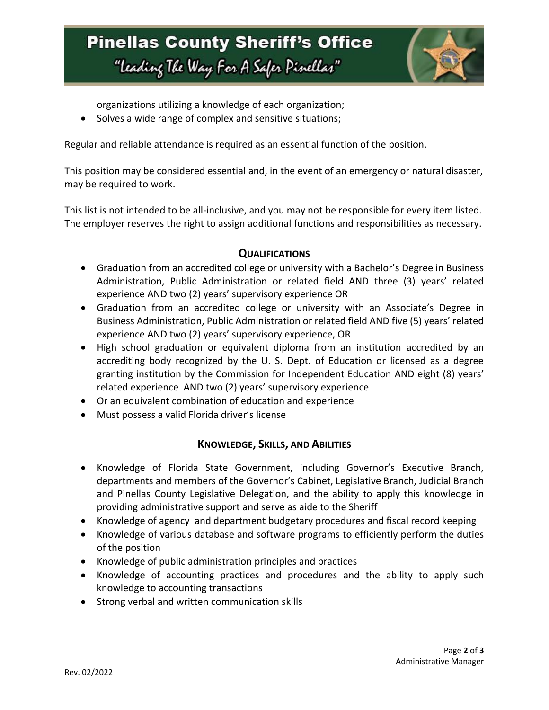

organizations utilizing a knowledge of each organization;

• Solves a wide range of complex and sensitive situations;

Regular and reliable attendance is required as an essential function of the position.

This position may be considered essential and, in the event of an emergency or natural disaster, may be required to work.

This list is not intended to be all-inclusive, and you may not be responsible for every item listed. The employer reserves the right to assign additional functions and responsibilities as necessary.

#### **QUALIFICATIONS**

- Graduation from an accredited college or university with a Bachelor's Degree in Business Administration, Public Administration or related field AND three (3) years' related experience AND two (2) years' supervisory experience OR
- Graduation from an accredited college or university with an Associate's Degree in Business Administration, Public Administration or related field AND five (5) years' related experience AND two (2) years' supervisory experience, OR
- High school graduation or equivalent diploma from an institution accredited by an accrediting body recognized by the U. S. Dept. of Education or licensed as a degree granting institution by the Commission for Independent Education AND eight (8) years' related experience AND two (2) years' supervisory experience
- Or an equivalent combination of education and experience
- Must possess a valid Florida driver's license

#### **KNOWLEDGE, SKILLS, AND ABILITIES**

- Knowledge of Florida State Government, including Governor's Executive Branch, departments and members of the Governor's Cabinet, Legislative Branch, Judicial Branch and Pinellas County Legislative Delegation, and the ability to apply this knowledge in providing administrative support and serve as aide to the Sheriff
- Knowledge of agency and department budgetary procedures and fiscal record keeping
- Knowledge of various database and software programs to efficiently perform the duties of the position
- Knowledge of public administration principles and practices
- Knowledge of accounting practices and procedures and the ability to apply such knowledge to accounting transactions
- Strong verbal and written communication skills